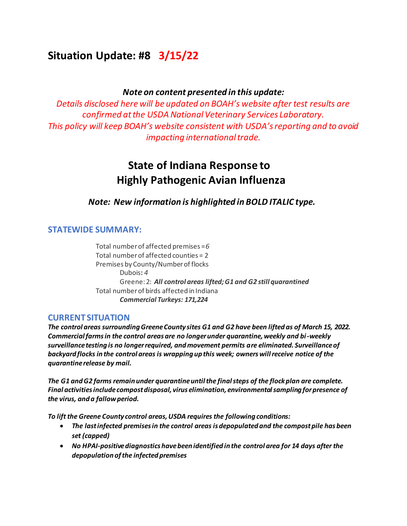# **Situation Update: #8 3/15/22**

#### *Note on content presented in this update:*

*Details disclosed here will be updated on BOAH's website after test results are confirmed at the USDA National Veterinary Services Laboratory. This policy will keep BOAH's website consistent with USDA's reporting and to avoid impacting international trade.* 

# **State of Indiana Response to Highly Pathogenic Avian Influenza**

*Note: New information is highlighted in BOLD ITALIC type.*

## **STATEWIDE SUMMARY:**

Total number of affected premises =*6* Total number of affected counties = 2 Premises by County/Number of flocks Dubois**:** *4* Greene: 2: *All control areas lifted; G1 and G2 still quarantined*  Total number of birds affected in Indiana *Commercial Turkeys: 171,224*

#### **CURRENT SITUATION**

*The control areas surrounding Greene County sites G1 and G2 have been lifted as of March 15, 2022. Commercial farms in the control areas are no longer under quarantine, weekly and bi-weekly surveillance testing is no longer required, and movement permits are eliminated. Surveillance of backyard flocks in the control areas is wrapping up this week; owners will receive notice of the quarantine release by mail.* 

*The G1 and G2 farms remain under quarantine until the final steps of the flock plan are complete. Final activities include compost disposal, virus elimination, environmental sampling for presence of the virus, and a fallow period.*

*To lift the Greene County control areas, USDA requires the following conditions:*

- *The last infected premises in the control areas is depopulated and the compost pile has been set (capped)*
- *No HPAI-positive diagnostics have been identified in the control area for 14 days after the depopulation of the infected premises*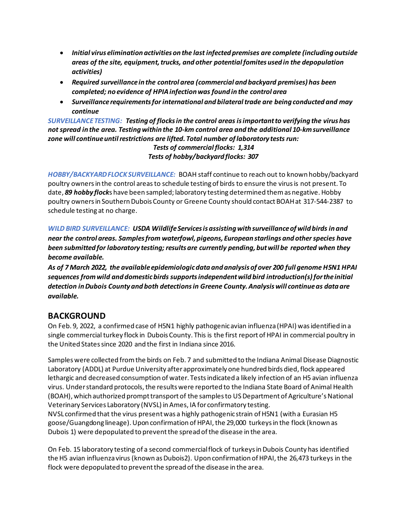- *Initial virus elimination activities on the last infected premises are complete (including outside areas of the site, equipment, trucks, and other potential fomites used in the depopulation activities)*
- *Required surveillance in the control area (commercial and backyard premises) has been completed; no evidence of HPIA infection was found in the control area*
- *Surveillance requirements for international and bilateral trade are being conducted and may continue*

*SURVEILLANCE TESTING: Testing of flocks in the control areas is important to verifying the virus has not spread in the area. Testing within the 10-km control area and the additional 10-km surveillance zone will continue until restrictions are lifted. Total number of laboratory tests run:*

#### *Tests of commercial flocks: 1,314 Tests of hobby/backyard flocks: 307*

*HOBBY/BACKYARD FLOCK SURVEILLANCE:* BOAH staff continue to reach out to known hobby/backyard poultry owners in the control areasto schedule testing of birds to ensure the virus is not present. To date, *89 hobby flock*s have been sampled; laboratory testing determined them as negative. Hobby poultry owners in Southern Dubois County or Greene County should contact BOAH at 317-544-2387 to schedule testing at no charge.

*WILD BIRD SURVEILLANCE: USDA Wildlife Services is assisting with surveillance of wild birds in and near the control areas. Samples from waterfowl, pigeons, European starlings and other species have been submitted for laboratory testing; results are currently pending, but will be reported when they become available.*

*As of 7 March 2022, the available epidemiologic data and analysis of over 200 full genome H5N1 HPAI sequences from wild and domestic birds supports independent wild bird introduction(s) for the initial detection in Dubois County and both detections in Greene County. Analysis will continue as data are available.*

## **BACKGROUND**

On Feb. 9, 2022, a confirmed case of H5N1 highly pathogenic avian influenza (HPAI) was identified in a single commercial turkey flock in Dubois County. This is the first report of HPAI in commercial poultry in the United States since 2020 and the first in Indiana since 2016. 

Samples were collected from the birds on Feb. 7 and submitted to the Indiana Animal Disease Diagnostic Laboratory (ADDL) at Purdue University after approximately one hundred birds died, flock appeared lethargic and decreased consumption of water. Tests indicated a likely infection of an H5 avian influenza virus. Under standard protocols, the results were reported to the Indiana State Board of Animal Health (BOAH), which authorized prompt transport of the samples to US Department of Agriculture's National Veterinary Services Laboratory (NVSL) in Ames, IA for confirmatory testing.  NVSL confirmed that the virus present was a highly pathogenic strain of H5N1 (with a Eurasian H5 goose/Guangdong lineage). Upon confirmation of HPAI, the 29,000 turkeys in the flock (known as Dubois 1) were depopulated to prevent the spread of the disease in the area.  

On Feb. 15 laboratory testing of a second commercial flock of turkeys in Dubois County has identified the H5 avian influenza virus (known as Dubois2). Upon confirmation of HPAI, the 26,473 turkeys in the flock were depopulated to prevent the spread of the disease in the area.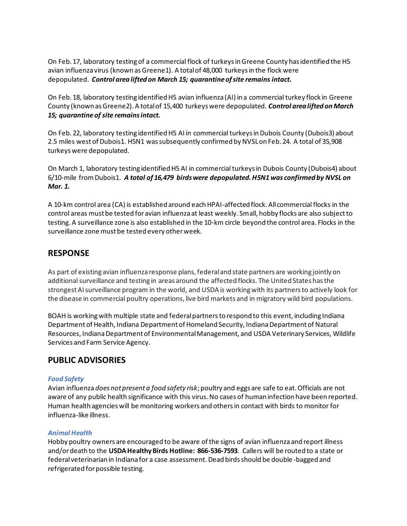On Feb. 17, laboratory testing of a commercial flock of turkeys in Greene County has identified the H5 avian influenza virus (known as Greene1). A total of 48,000 turkeys in the flock were depopulated. *Control area lifted on March 15; quarantine of site remains intact.*

On Feb. 18, laboratory testing identified H5 avian influenza (AI) in a commercial turkey flock in Greene County (known as Greene2). A total of 15,400 turkeys were depopulated. *Control area lifted on March 15; quarantine of site remains intact.*

On Feb. 22, laboratory testing identified H5 AI in commercial turkeys in Dubois County (Dubois3) about 2.5 miles west of Dubois1. H5N1 was subsequently confirmed by NVSL on Feb. 24. A total of 35,908 turkeys were depopulated.

On March 1, laboratory testing identified H5 AI in commercial turkeys in Dubois County (Dubois4) about 6/10-mile from Dubois1. *A total of 16,479 birds were depopulated. H5N1 was confirmed by NVSL on Mar. 1.*

A 10-km control area (CA) is established around each HPAI-affected flock. All commercial flocks in the control areas must be tested for avian influenza at least weekly. Small, hobby flocks are also subject to testing. A surveillance zone is also established in the 10-km circle beyond the control area. Flocks in the surveillance zone must be tested every other week.

## **RESPONSE**

As part of existing avian influenza response plans, federal and state partners are working jointly on additional surveillance and testing in areas around the affected flocks. The United States has the strongest AI surveillance program in the world, and USDA is working with its partners to actively look for the disease in commercial poultry operations, live bird markets and in migratory wild bird populations.

BOAH is working with multiple state and federal partners to respond to this event, including Indiana Department of Health, Indiana Department of Homeland Security, Indiana Department of Natural Resources, Indiana Department of Environmental Management, and USDA Veterinary Services, Wildlife Services and Farm Service Agency.

## **PUBLIC ADVISORIES**

#### *Food Safety*

Avian influenza *does not present a food safety risk*; poultry and eggs are safe to eat. Officials are not aware of any public health significance with this virus. No cases of human infection have been reported. Human health agencies will be monitoring workers and others in contact with birds to monitor for influenza-like illness.

#### *Animal Health*

Hobby poultry owners are encouraged to be aware of the signs of avian influenza and report illness and/or death to the **USDA Healthy Birds Hotline:  866-536-7593**. Callers will be routed to a state or federal veterinarian in Indiana for a case assessment. Dead birds should be double -bagged and refrigerated for possible testing.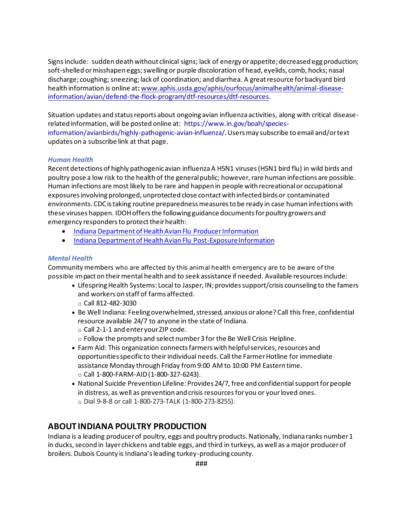Signs include:  sudden death without clinical signs; lack of energy or appetite; decreased egg production; soft-shelled or misshapen eggs; swelling or purple discoloration of head, eyelids, comb, hocks; nasal discharge; coughing; sneezing; lack of coordination; and diarrhea. A great resource for backyard bird health information is online at**:** www.aphis.usda.gov/aphis/ourfocus/animalhealth/animal-diseaseinformation/avian/defend-the-flock-program/dtf-resources/dtf-resources. 

Situation updates and status reports about ongoing avian influenza activities, along with critical diseaserelated information, will be posted online at:  https://www.in.gov/boah/speciesinformation/avianbirds/highly-pathogenic-avian-influenza/. Users may subscribe to email and/or text updates on a subscribe link at that page. 

#### *Human Health*

Recent detections of highly pathogenic avian influenza A H5N1 viruses (H5N1 bird flu) in wild birds and poultry pose a low risk to the health of the general public; however, rare human infections are possible. Human infections are most likely to be rare and happen in people with recreational or occupational exposures involving prolonged, unprotected close contact with infected birds or contaminated environments. CDC is taking routine preparedness measures to be ready in case human infections with these viruses happen. IDOH offers the following guidance documents for poultry growers and emergency responders to protect their health:

- Indiana Department of Health Avian Flu Producer Information
- Indiana Department of Health Avian Flu Post-Exposure Information

#### *Mental Health*

Community members who are affected by this animal health emergency are to be aware of the possible impact on their mental health and to seek assistance if needed. Available resources include:

- Lifespring Health Systems: Local to Jasper, IN; provides support/crisis counseling to the famers and workers on staff of farms affected.
	- o Call 812-482-3030
- Be Well Indiana: Feeling overwhelmed, stressed, anxious or alone? Call this free, confidential resource available 24/7 to anyone in the state of Indiana.
	- o Call 2-1-1 and enter your ZIP code.
	- $\circ$  Follow the prompts and select number 3 for the Be Well Crisis Helpline.
- Farm Aid: This organization connects farmers with helpful services, resources and opportunities specific to their individual needs. Call the Farmer Hotline for immediate assistance Monday through Friday from 9:00 AM to 10:00 PM Eastern time.   o Call 1-800-FARM-AID (1-800-327-6243).
- National Suicide Prevention Lifeline: Provides 24/7, free and confidential support for people in distress, as well as prevention and crisis resources for you or your loved ones.   o Dial 9-8-8 or call 1-800-273-TALK (1-800-273-8255).

## **ABOUT INDIANA POULTRY PRODUCTION**

Indiana is a leading producer of poultry, eggs and poultry products. Nationally, Indiana ranks number 1 in ducks, second in layer chickens and table eggs, and third in turkeys, as well as a major producer of broilers. Dubois County is Indiana's leading turkey-producing county.